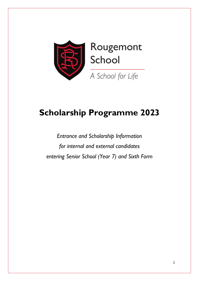

# **Scholarship Programme 2023**

*Entrance and Scholarship Information for internal and external candidates entering Senior School (Year 7) and Sixth Form*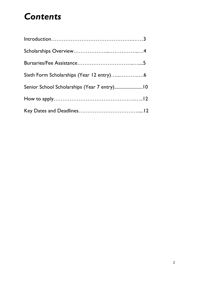# *Contents*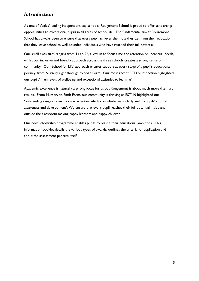# *Introduction*

As one of Wales' leading independent day schools, Rougemont School is proud to offer scholarship opportunities to exceptional pupils in all areas of school life. The fundamental aim at Rougemont School has always been to ensure that every pupil achieves the most they can from their education; that they leave school as well-rounded individuals who have reached their full potential.

Our small class sizes ranging from 14 to 22, allow us to focus time and attention on individual needs, whilst our inclusive and friendly approach across the three schools creates a strong sense of community. Our 'School for Life' approach ensures support at every stage of a pupil's educational journey, from Nursery right through to Sixth Form. Our most recent ESTYN inspection highlighted our pupils' 'high levels of wellbeing and exceptional attitudes to learning'.

Academic excellence is naturally a strong focus for us but Rougemont is about much more than just results. From Nursery to Sixth Form, our community is thriving as ESTYN highlighted our 'outstanding range of co-curricular activities which contribute particularly well to pupils' cultural awareness and development'. We ensure that every pupil reaches their full potential inside and outside the classroom making happy learners and happy children.

Our new Scholarship programme enables pupils to realise their educational ambitions. This information booklet details the various types of awards, outlines the criteria for application and about the assessment process itself.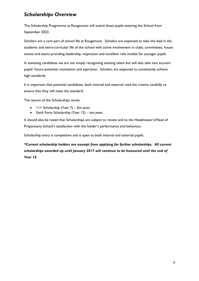# *Scholarships Overview*

The Scholarship Programme at Rougemont will award those pupils entering the School from September 2023.

Scholars are a core part of school life at Rougemont. Scholars are expected to take the lead in the academic and extra-curricular life of the school with active involvement in clubs, committees, house events and teams providing leadership, inspiration and excellent role models for younger pupils.

In assessing candidates we are not simply recognising existing talent but will also take into account pupils' future potential, motivation and aspiration. Scholars are expected to consistently achieve high standards.

It is important that potential candidates, both internal and external read the criteria carefully to ensure that they will meet the standard.

The tenure of the Scholarships varies:

- 11+ Scholarship (Year 7) *five years*
- Sixth Form Scholarship (Year 12) *two years*

It should also be noted that Scholarships are subject to review and to the Headmaster's/Head of Preparatory School's satisfaction with the holder's performance and behaviour.

Scholarship entry is competitive and is open to both internal and external pupils.

*\*Current scholarship holders are exempt from applying for further scholarships. All current scholarships awarded up until January 2017 will continue to be honoured until the end of Year 13.*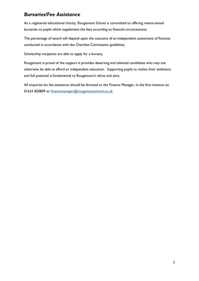# *Bursaries/Fee Assistance*

As a registered educational charity, Rougemont School is committed to offering means-tested bursaries to pupils which supplement the fees according to financial circumstances.

The percentage of award will depend upon the outcome of an independent assessment of finances conducted in accordance with the Charities Commission guidelines.

Scholarship recipients are able to apply for a bursary.

Rougemont is proud of the support it provides deserving and talented candidates who may not otherwise be able to afford an independent education. Supporting pupils to realise their ambitions and full potential is fundamental to Rougemont's ethos and aims.

All enquiries for fee assistance should be directed to the Finance Manager, in the first instance on 01633 820809 or financemanager@rougemontschool.co.uk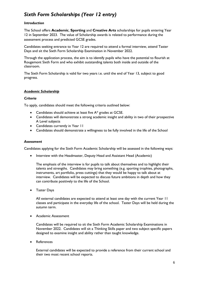# *Sixth Form Scholarships (Year 12 entry)*

## *Introduction*

The School offers **Academic**, **Sporting** and **Creative Arts** scholarships for pupils entering Year 12 in September 2023. The value of Scholarship awards is related to performance during the assessment process and predicted GCSE grades.

Candidates seeking entrance to Year 12 are required to attend a formal interview, attend Taster Days and sit the Sixth Form Scholarship Examination in November 2022.

Through the application process, the aim is to identify pupils who have the potential to flourish at Rougemont Sixth Form and who exhibit outstanding talents both inside and outside of the classroom.

The Sixth Form Scholarship is valid for two years i.e. until the end of Year 13, subject to good progress.

## *Academic Scholarship*

## *Criteria*

To apply, candidates should meet the following criteria outlined below:

- Candidates should achieve at least five A\* grades at GCSE.
- Candidates will demonstrate a strong academic insight and ability in two of their prospective A Level subjects
- Candidates currently in Year 11
- Candidates should demonstrate a willingness to be fully involved in the life of the School

#### *Assessment*

Candidates applying for the Sixth Form Academic Scholarship will be assessed in the following ways:

• Interview with the Headmaster, Deputy Head and Assistant Head (Academic)

The emphasis of the interview is for pupils to talk about themselves and to highlight their talents and strengths. Candidates may bring something (e.g. sporting trophies, photographs, instruments, art portfolio, press cuttings) that they would be happy to talk about at interview. Candidates will be expected to discuss future ambitions in depth and how they can contribute positively to the life of the School.

Taster Days

All external candidates are expected to attend at least one day with the current Year 11 classes and participate in the everyday life of the school. Taster Days will be held during the autumn term.

Academic Assessment

Candidates will be required to sit the Sixth Form Academic Scholarship Examinations in November 2022. Candidates will sit a Thinking Skills paper and two subject specific papers designed to examine insight and ability rather than taught knowledge.

• References

External candidates will be expected to provide a reference from their current school and their two most recent school reports.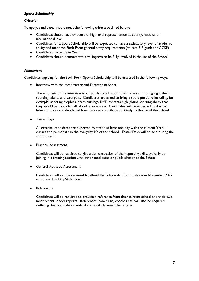## *Sports Scholarship*

#### *Criteria*

To apply, candidates should meet the following criteria outlined below:

- Candidates should have evidence of high level representation at county, national or international level
- Candidates for a Sport Scholarship will be expected to have a satisfactory level of academic ability and meet the Sixth Form general entry requirements (at least 5 B grades at GCSE)
- Candidates currently in Year 11
- Candidates should demonstrate a willingness to be fully involved in the life of the School

## *Assessment*

Candidates applying for the Sixth Form Sports Scholarship will be assessed in the following ways:

• Interview with the Headmaster and Director of Sport

The emphasis of the interview is for pupils to talk about themselves and to highlight their sporting talents and strengths. Candidates are asked to bring a sport portfolio including, for example, sporting trophies, press cuttings, DVD extracts highlighting sporting ability that they would be happy to talk about at interview. Candidates will be expected to discuss future ambitions in depth and how they can contribute positively to the life of the School.

**•** Taster Days

All external candidates are expected to attend at least one day with the current Year 11 classes and participate in the everyday life of the school. Taster Days will be held during the autumn term.

**•** Practical Assessment

Candidates will be required to give a demonstration of their sporting skills, typically by joining in a training session with other candidates or pupils already at the School.

General Aptitude Assessment

Candidates will also be required to attend the Scholarship Examinations in November 2022 to sit one Thinking Skills paper.

**References** 

Candidates will be required to provide a reference from their current school and their two most recent school reports. References from clubs, coaches etc. will also be required outlining the candidate's standard and ability to meet the criteria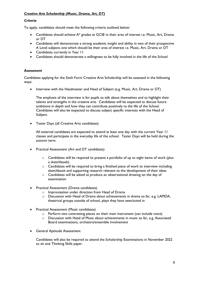## *Creative Arts Scholarship (Music, Drama, Art, DT)*

## *Criteria*

To apply, candidates should meet the following criteria outlined below:

- Candidates should achieve A\* grades at GCSE in their area of interest i.e. Music, Art, Drama or DT
- Candidates will demonstrate a strong academic insight and ability in two of their prospective A Level subjects one which should be their area of interest i.e. Music, Art, Drama or DT
- Candidates currently in Year 11
- Candidates should demonstrate a willingness to be fully involved in the life of the School

## *Assessment*

Candidates applying for the Sixth Form Creative Arts Scholarship will be assessed in the following ways:

• Interview with the Headmaster and Head of Subject (e.g. Music, Art, Drama or DT)

The emphasis of the interview is for pupils to talk about themselves and to highlight their talents and strengths in the creative arts. Candidates will be expected to discuss future ambitions in depth and how they can contribute positively to the life of the School. Candidates will also be expected to discuss subject specific interests with the Head of Subject.

Taster Days (all Creative Arts candidates)

All external candidates are expected to attend at least one day with the current Year 11 classes and participate in the everyday life of the school. Taster Days will be held during the autumn term.

- Practical Assessment (Art and DT candidates)
	- $\circ$  Candidates will be required to present a portfolio of up to eight items of work (plus a sketchbook).
	- o Candidates will be required to bring a finished piece of work to interview including sketchbook and supporting research relevant to the development of their ideas
	- o Candidates will be asked to produce an observational drawing on the day of examination
- Practical Assessment (Drama candidates)
	- o Improvisation under direction from Head of Drama
	- $\circ$  Discussion with Head of Drama about achievements in drama so far, e.g. LAMDA, theatrical groups outside of school, plays they have seen/acted in
- Practical Assessment (Music candidates)
	- o Perform two contrasting pieces on their main instrument (can include voice)
	- $\circ$  Discussion with Head of Music about achievements in music so far, e.g. Associated Board examinations, orchestra/ensemble involvement
- **•** General Aptitude Assessment

Candidates will also be required to attend the Scholarship Examinations in November 2022 to sit one Thinking Skills paper.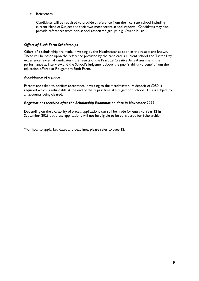References

Candidates will be required to provide a reference from their current school including current Head of Subject and their two most recent school reports. Candidates may also provide references from non-school associated groups e.g. Gwent Music

## *Offers of Sixth Form Scholarships*

Offers of a scholarship are made in writing by the Headmaster as soon as the results are known. These will be based upon the reference provided by the candidate's current school and Taster Day experience (external candidates), the results of the Practical Creative Arts Assessment, the performance at interview and the School's judgement about the pupil's ability to benefit from the education offered at Rougemont Sixth Form.

## *Acceptance of a place*

Parents are asked to confirm acceptance in writing to the Headmaster. A deposit of £250 is required which is refundable at the end of the pupils' time at Rougemont School. This is subject to all accounts being cleared.

## *Registrations received after the Scholarship Examination date in November 2022*

Depending on the availability of places, applications can still be made for entry to Year 12 in September 2023 but these applications will not be eligible to be considered for Scholarship.

\*For how to apply, key dates and deadlines, please refer to page 12.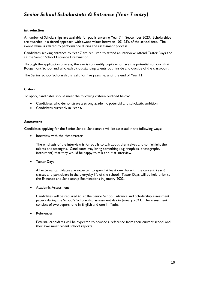# *Senior School Scholarships & Entrance (Year 7 entry)*

## *Introduction*

A number of Scholarships are available for pupils entering Year 7 in September 2023. Scholarships are awarded in a tiered approach with award values between 10%-25% of the school fees. The award value is related to performance during the assessment process.

Candidates seeking entrance to Year 7 are required to attend an interview, attend Taster Days and sit the Senior School Entrance Examination.

Through the application process, the aim is to identify pupils who have the potential to flourish at Rougemont School and who exhibit outstanding talents both inside and outside of the classroom.

The Senior School Scholarship is valid for five years i.e. until the end of Year 11.

#### *Criteria*

To apply, candidates should meet the following criteria outlined below:

- Candidates who demonstrate a strong academic potential and scholastic ambition
- Candidates currently in Year 6

#### *Assessment*

Candidates applying for the Senior School Scholarship will be assessed in the following ways:

• Interview with the Headmaster

The emphasis of the interview is for pupils to talk about themselves and to highlight their talents and strengths. Candidates may bring something (e.g. trophies, photographs, instrument) that they would be happy to talk about at interview.

Taster Days

All external candidates are expected to spend at least one day with the current Year 6 classes and participate in the everyday life of the school. Taster Days will be held prior to the Entrance and Scholarship Examinations in January 2023.

• Academic Assessment

Candidates will be required to sit the Senior School Entrance and Scholarship assessment papers during the School's Scholarship assessment day in January 2023. The assessment consists of two papers, one in English and one in Maths.

References

External candidates will be expected to provide a reference from their current school and their two most recent school reports.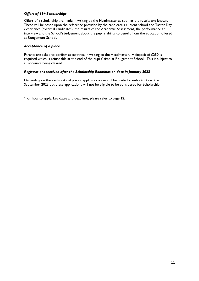## *Offers of 11+ Scholarships*

Offers of a scholarship are made in writing by the Headmaster as soon as the results are known. These will be based upon the reference provided by the candidate's current school and Taster Day experience (external candidates), the results of the Academic Assessment, the performance at interview and the School's judgement about the pupil's ability to benefit from the education offered at Rougemont School.

## *Acceptance of a place*

Parents are asked to confirm acceptance in writing to the Headmaster. A deposit of £250 is required which is refundable at the end of the pupils' time at Rougemont School. This is subject to all accounts being cleared.

## *Registrations received after the Scholarship Examination date in January 2023*

Depending on the availability of places, applications can still be made for entry to Year 7 in September 2023 but these applications will not be eligible to be considered for Scholarship.

\*For how to apply, key dates and deadlines, please refer to page 12.